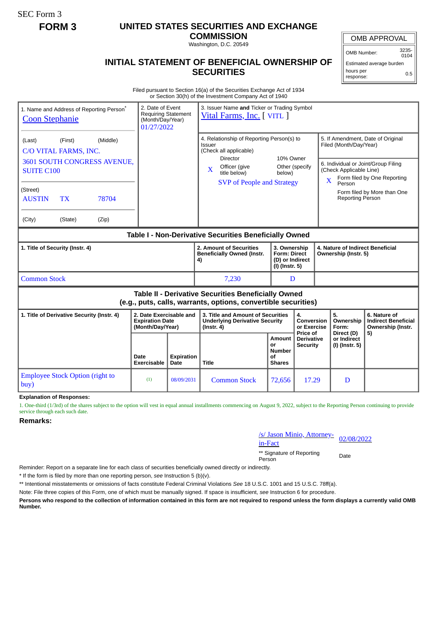SEC Form 3

## **FORM 3 UNITED STATES SECURITIES AND EXCHANGE**

**COMMISSION** Washington, D.C. 20549

## **INITIAL STATEMENT OF BENEFICIAL OWNERSHIP OF SECURITIES**

OMB APPROVAL

OMB Number: 3235- 0104

Estimated average burden hours per response: 0.5

Filed pursuant to Section 16(a) of the Securities Exchange Act of 1934 or Section 30(h) of the Investment Company Act of 1940

| 1. Name and Address of Reporting Person <sup>®</sup><br><b>Coon Stephanie</b>                                         |                                                                       | 2. Date of Event<br>3. Issuer Name and Ticker or Trading Symbol<br><b>Requiring Statement</b><br>Vital Farms, Inc. [VITL ]<br>(Month/Day/Year)<br>01/27/2022 |                                                                                                                                                                      |                                                             |                                                                          |                                                             |                                                                                                              |                                                                 |
|-----------------------------------------------------------------------------------------------------------------------|-----------------------------------------------------------------------|--------------------------------------------------------------------------------------------------------------------------------------------------------------|----------------------------------------------------------------------------------------------------------------------------------------------------------------------|-------------------------------------------------------------|--------------------------------------------------------------------------|-------------------------------------------------------------|--------------------------------------------------------------------------------------------------------------|-----------------------------------------------------------------|
| (Middle)<br>(First)<br>(Last)<br>C/O VITAL FARMS, INC.                                                                |                                                                       |                                                                                                                                                              | 4. Relationship of Reporting Person(s) to<br>Issuer<br>(Check all applicable)<br>Director<br>Officer (give<br>X<br>title below)<br><b>SVP of People and Strategy</b> | 10% Owner                                                   |                                                                          | 5. If Amendment, Date of Original<br>Filed (Month/Day/Year) |                                                                                                              |                                                                 |
| 3601 SOUTH CONGRESS AVENUE,<br><b>SUITE C100</b>                                                                      |                                                                       |                                                                                                                                                              |                                                                                                                                                                      | Other (specify<br>below)                                    |                                                                          |                                                             | 6. Individual or Joint/Group Filing<br>(Check Applicable Line)<br>Form filed by One Reporting<br>X<br>Person |                                                                 |
| (Street)<br><b>TX</b><br>78704<br><b>AUSTIN</b>                                                                       |                                                                       |                                                                                                                                                              |                                                                                                                                                                      |                                                             | Form filed by More than One<br><b>Reporting Person</b>                   |                                                             |                                                                                                              |                                                                 |
| (City)<br>(Zip)<br>(State)                                                                                            |                                                                       |                                                                                                                                                              |                                                                                                                                                                      |                                                             |                                                                          |                                                             |                                                                                                              |                                                                 |
| Table I - Non-Derivative Securities Beneficially Owned                                                                |                                                                       |                                                                                                                                                              |                                                                                                                                                                      |                                                             |                                                                          |                                                             |                                                                                                              |                                                                 |
| 1. Title of Security (Instr. 4)                                                                                       |                                                                       |                                                                                                                                                              | 2. Amount of Securities<br><b>Beneficially Owned (Instr.</b><br>4)                                                                                                   |                                                             | 3. Ownership<br><b>Form: Direct</b><br>(D) or Indirect<br>(I) (Instr. 5) |                                                             | 4. Nature of Indirect Beneficial<br>Ownership (Instr. 5)                                                     |                                                                 |
| <b>Common Stock</b>                                                                                                   |                                                                       |                                                                                                                                                              | 7,230                                                                                                                                                                | D                                                           |                                                                          |                                                             |                                                                                                              |                                                                 |
| Table II - Derivative Securities Beneficially Owned<br>(e.g., puts, calls, warrants, options, convertible securities) |                                                                       |                                                                                                                                                              |                                                                                                                                                                      |                                                             |                                                                          |                                                             |                                                                                                              |                                                                 |
| 1. Title of Derivative Security (Instr. 4)                                                                            | 2. Date Exercisable and<br><b>Expiration Date</b><br>(Month/Day/Year) |                                                                                                                                                              | 3. Title and Amount of Securities<br><b>Underlying Derivative Security</b><br>$($ lnstr. 4 $)$                                                                       |                                                             | 4.<br><b>Conversion</b><br>or Exercise<br>Price of                       | 5.                                                          | Ownership<br>Form:<br>Direct (D)                                                                             | 6. Nature of<br><b>Indirect Beneficial</b><br>Ownership (Instr. |
|                                                                                                                       | Date<br><b>Exercisable</b>                                            | <b>Expiration</b><br>Date                                                                                                                                    | <b>Title</b>                                                                                                                                                         | <b>Amount</b><br>or<br><b>Number</b><br>Ωf<br><b>Shares</b> | <b>Derivative</b><br><b>Security</b>                                     |                                                             | or Indirect<br>(I) (Instr. 5)                                                                                | 5)                                                              |
| <b>Employee Stock Option (right to</b><br>buy)                                                                        | (1)                                                                   | 08/09/2031                                                                                                                                                   | <b>Common Stock</b>                                                                                                                                                  | 72,656                                                      | 17.29                                                                    |                                                             | D                                                                                                            |                                                                 |

**Explanation of Responses:**

1. One-third (1/3rd) of the shares subject to the option will vest in equal annual installments commencing on August 9, 2022, subject to the Reporting Person continuing to provide service through each such date.

**Remarks:**

/s/ Jason Minio, Attorney-<br>in-Fact

\*\* Signature of Reporting Person Date

Reminder: Report on a separate line for each class of securities beneficially owned directly or indirectly.

\* If the form is filed by more than one reporting person, *see* Instruction 5 (b)(v).

\*\* Intentional misstatements or omissions of facts constitute Federal Criminal Violations *See* 18 U.S.C. 1001 and 15 U.S.C. 78ff(a).

Note: File three copies of this Form, one of which must be manually signed. If space is insufficient, *see* Instruction 6 for procedure.

**Persons who respond to the collection of information contained in this form are not required to respond unless the form displays a currently valid OMB Number.**